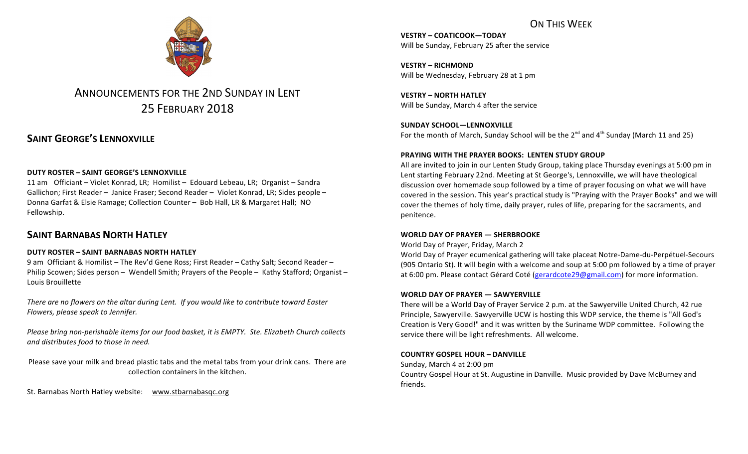# ON THIS WFFK



# ANNOUNCEMENTS FOR THE 2ND SUNDAY IN LENT 25 FEBRUARY 2018

# **SAINT GEORGE'S LENNOXVILLE**

## **DUTY ROSTER – SAINT GEORGE'S LENNOXVILLE**

11 am Officiant – Violet Konrad, LR; Homilist – Edouard Lebeau, LR; Organist – Sandra Gallichon; First Reader – Janice Fraser; Second Reader – Violet Konrad, LR; Sides people – Donna Garfat & Elsie Ramage; Collection Counter – Bob Hall, LR & Margaret Hall; NO Fellowship.

# **SAINT BARNABAS NORTH HATLEY**

## **DUTY ROSTER – SAINT BARNABAS NORTH HATLEY**

9 am Officiant & Homilist – The Rev'd Gene Ross; First Reader – Cathy Salt; Second Reader – Philip Scowen; Sides person - Wendell Smith; Prayers of the People - Kathy Stafford; Organist -Louis Brouillette

There are no flowers on the altar during Lent. If you would like to contribute toward Easter *Flowers, please speak to Jennifer.*

*Please bring non-perishable items for our food basket, it is EMPTY. Ste. Elizabeth Church collects and distributes food to those in need.*

Please save your milk and bread plastic tabs and the metal tabs from your drink cans. There are collection containers in the kitchen.

St. Barnabas North Hatley website: www.stbarnabasqc.org

**VESTRY – COATICOOK—TODAY** Will be Sunday, February 25 after the service

**VESTRY – RICHMOND** Will be Wednesday, February 28 at 1 pm

**VESTRY – NORTH HATLEY** Will be Sunday, March 4 after the service

SUNDAY SCHOOL-LENNOXVILLE For the month of March, Sunday School will be the  $2^{nd}$  and  $4^{th}$  Sunday (March 11 and 25)

## **PRAYING WITH THE PRAYER BOOKS: LENTEN STUDY GROUP**

All are invited to join in our Lenten Study Group, taking place Thursday evenings at 5:00 pm in Lent starting February 22nd. Meeting at St George's, Lennoxville, we will have theological discussion over homemade soup followed by a time of prayer focusing on what we will have covered in the session. This year's practical study is "Praying with the Prayer Books" and we will cover the themes of holy time, daily prayer, rules of life, preparing for the sacraments, and penitence.

## **WORLD DAY OF PRAYER — SHERBROOKE**

World Day of Prayer, Friday, March 2

World Day of Prayer ecumenical gathering will take placeat Notre-Dame-du-Perpétuel-Secours (905 Ontario St). It will begin with a welcome and soup at 5:00 pm followed by a time of prayer at 6:00 pm. Please contact Gérard Coté (gerardcote29@gmail.com) for more information.

## **WORLD DAY OF PRAYER — SAWYERVILLE**

There will be a World Day of Prayer Service 2 p.m. at the Sawyerville United Church, 42 rue Principle, Sawyerville. Sawyerville UCW is hosting this WDP service, the theme is "All God's Creation is Very Good!" and it was written by the Suriname WDP committee. Following the service there will be light refreshments. All welcome.

## **COUNTRY GOSPEL HOUR – DANVILLE**

Sunday, March 4 at 2:00 pm Country Gospel Hour at St. Augustine in Danville. Music provided by Dave McBurney and friends.